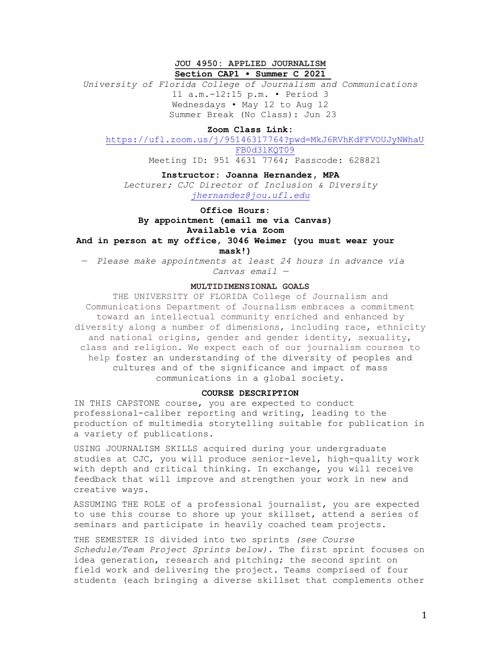# **JOU 4950: APPLIED JOURNALISM Section CAP1 • Summer C 2021**

*University of Florida College of Journalism and Communications* 11 a.m.-12:15 p.m. • Period 3 Wednesdays • May 12 to Aug 12 Summer Break (No Class): Jun 23

# **Zoom Class Link:**

[https://ufl.zoom.us/j/95146317764?pwd=MkJ6RVhKdFFVOUJyNWhaU](https://ufl.zoom.us/j/95146317764?pwd=MkJ6RVhKdFFVOUJyNWhaUFB0d3lKQT09) [FB0d3lKQT09](https://ufl.zoom.us/j/95146317764?pwd=MkJ6RVhKdFFVOUJyNWhaUFB0d3lKQT09)

Meeting ID: 951 4631 7764; Passcode: 628821

### **Instructor: Joanna Hernandez, MPA**

*Lecturer; CJC Director of Inclusion & Diversity [jhernandez@jou.ufl.edu](mailto:jhernandez@jou.ufl.edu)*

**Office Hours:** 

**By appointment (email me via Canvas)**

# **Available via Zoom**

**And in person at my office, 3046 Weimer (you must wear your mask!)** 

— *Please make appointments at least 24 hours in advance via Canvas email —*

### **MULTIDIMENSIONAL GOALS**

THE UNIVERSITY OF FLORIDA College of Journalism and Communications Department of Journalism embraces a commitment toward an intellectual community enriched and enhanced by diversity along a number of dimensions, including race, ethnicity and national origins, gender and gender identity, sexuality, class and religion. We expect each of our journalism courses to help foster an understanding of the diversity of peoples and cultures and of the significance and impact of mass communications in a global society.

#### **COURSE DESCRIPTION**

IN THIS CAPSTONE course, you are expected to conduct professional-caliber reporting and writing, leading to the production of multimedia storytelling suitable for publication in a variety of publications.

USING JOURNALISM SKILLS acquired during your undergraduate studies at CJC, you will produce senior-level, high-quality work with depth and critical thinking. In exchange, you will receive feedback that will improve and strengthen your work in new and creative ways.

ASSUMING THE ROLE of a professional journalist, you are expected to use this course to shore up your skillset, attend a series of seminars and participate in heavily coached team projects.

### THE SEMESTER IS divided into two sprints *(see Course*

*Schedule/Team Project Sprints below).* The first sprint focuses on idea generation, research and pitching; the second sprint on field work and delivering the project. Teams comprised of four students (each bringing a diverse skillset that complements other

1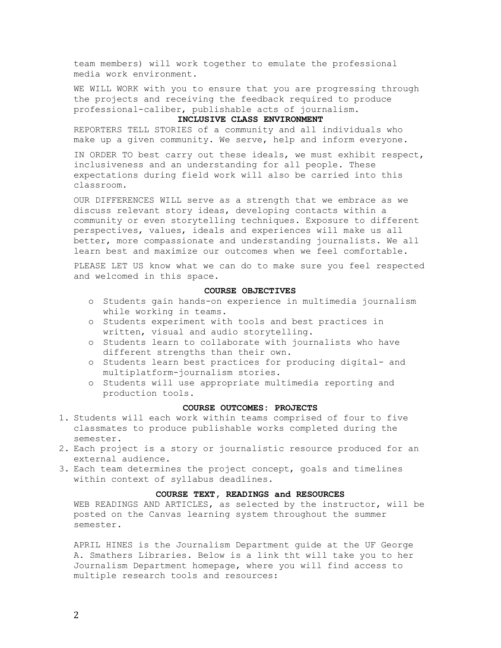team members) will work together to emulate the professional media work environment.

WE WILL WORK with you to ensure that you are progressing through the projects and receiving the feedback required to produce professional-caliber, publishable acts of journalism.

### **INCLUSIVE CLASS ENVIRONMENT**

REPORTERS TELL STORIES of a community and all individuals who make up a given community. We serve, help and inform everyone.

IN ORDER TO best carry out these ideals, we must exhibit respect, inclusiveness and an understanding for all people. These expectations during field work will also be carried into this classroom.

OUR DIFFERENCES WILL serve as a strength that we embrace as we discuss relevant story ideas, developing contacts within a community or even storytelling techniques. Exposure to different perspectives, values, ideals and experiences will make us all better, more compassionate and understanding journalists. We all learn best and maximize our outcomes when we feel comfortable.

PLEASE LET US know what we can do to make sure you feel respected and welcomed in this space.

#### **COURSE OBJECTIVES**

- o Students gain hands-on experience in multimedia journalism while working in teams.
- o Students experiment with tools and best practices in written, visual and audio storytelling.
- o Students learn to collaborate with journalists who have different strengths than their own.
- o Students learn best practices for producing digital- and multiplatform-journalism stories.
- o Students will use appropriate multimedia reporting and production tools.

#### **COURSE OUTCOMES: PROJECTS**

- 1. Students will each work within teams comprised of four to five classmates to produce publishable works completed during the semester.
- 2. Each project is a story or journalistic resource produced for an external audience.
- 3. Each team determines the project concept, goals and timelines within context of syllabus deadlines.

#### **COURSE TEXT, READINGS and RESOURCES**

WEB READINGS AND ARTICLES, as selected by the instructor, will be posted on the Canvas learning system throughout the summer semester.

APRIL HINES is the Journalism Department guide at the UF George A. Smathers Libraries. Below is a link tht will take you to her Journalism Department homepage, where you will find access to multiple research tools and resources: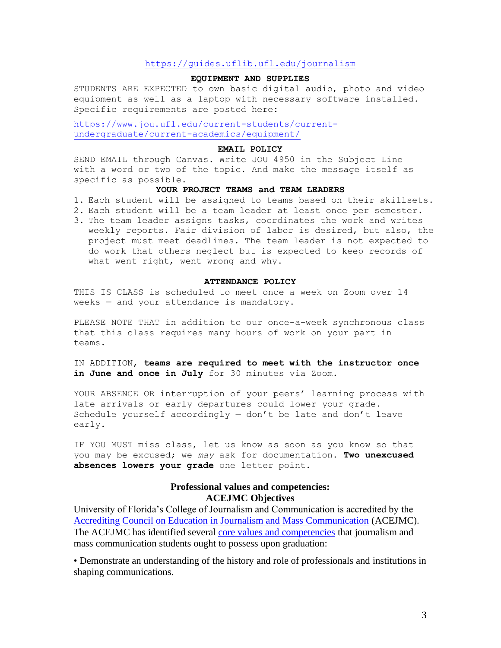# <https://guides.uflib.ufl.edu/journalism>

### **EQUIPMENT AND SUPPLIES**

STUDENTS ARE EXPECTED to own basic digital audio, photo and video equipment as well as a laptop with necessary software installed. Specific requirements are posted here:

[https://www.jou.ufl.edu/current-students/current](https://www.jou.ufl.edu/current-students/current-undergraduate/current-academics/equipment/)[undergraduate/current-academics/equipment/](https://www.jou.ufl.edu/current-students/current-undergraduate/current-academics/equipment/)

#### **EMAIL POLICY**

SEND EMAIL through Canvas. Write JOU 4950 in the Subject Line with a word or two of the topic. And make the message itself as specific as possible.

### **YOUR PROJECT TEAMS and TEAM LEADERS**

- 1. Each student will be assigned to teams based on their skillsets.
- 2. Each student will be a team leader at least once per semester.
- 3. The team leader assigns tasks, coordinates the work and writes weekly reports. Fair division of labor is desired, but also, the project must meet deadlines. The team leader is not expected to do work that others neglect but is expected to keep records of what went right, went wrong and why.

### **ATTENDANCE POLICY**

THIS IS CLASS is scheduled to meet once a week on Zoom over 14 weeks — and your attendance is mandatory.

PLEASE NOTE THAT in addition to our once-a-week synchronous class that this class requires many hours of work on your part in teams.

IN ADDITION, **teams are required to meet with the instructor once**  in June and once in July for 30 minutes via Zoom.

YOUR ABSENCE OR interruption of your peers' learning process with late arrivals or early departures could lower your grade. Schedule yourself accordingly — don't be late and don't leave early.

IF YOU MUST miss class, let us know as soon as you know so that you may be excused; we *may* ask for documentation. **Two unexcused absences lowers your grade** one letter point.

# **Professional values and competencies: ACEJMC Objectives**

University of Florida's College of Journalism and Communication is accredited by the [Accrediting Council on Education in Journalism and Mass Communication](https://www2.ku.edu/~acejmc/) (ACEJMC). The ACEJMC has identified several [core values and competencies](https://www2.ku.edu/~acejmc/PROGRAM/PRINCIPLES.SHTML#vals&comps) that journalism and mass communication students ought to possess upon graduation:

• Demonstrate an understanding of the history and role of professionals and institutions in shaping communications.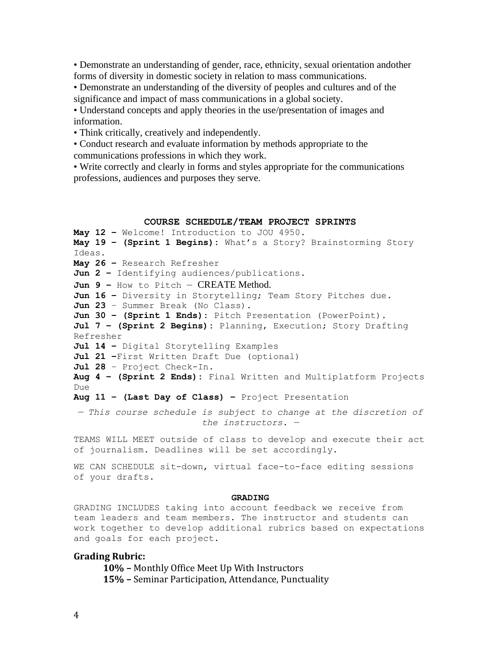• Demonstrate an understanding of gender, race, ethnicity, sexual orientation andother forms of diversity in domestic society in relation to mass communications.

• Demonstrate an understanding of the diversity of peoples and cultures and of the significance and impact of mass communications in a global society.

• Understand concepts and apply theories in the use/presentation of images and information.

• Think critically, creatively and independently.

• Conduct research and evaluate information by methods appropriate to the communications professions in which they work.

• Write correctly and clearly in forms and styles appropriate for the communications professions, audiences and purposes they serve.

### **COURSE SCHEDULE/TEAM PROJECT SPRINTS**

**May 12 –** Welcome! Introduction to JOU 4950. **May 19 – (Sprint 1 Begins):** What's a Story? Brainstorming Story Ideas. **May 26 –** Research Refresher **Jun 2 –** Identifying audiences/publications. **Jun 9 –** How to Pitch — CREATE Method. **Jun 16 –** Diversity in Storytelling; Team Story Pitches due. **Jun 23** – Summer Break (No Class). **Jun 30 – (Sprint 1 Ends):** Pitch Presentation (PowerPoint). **Jul 7 – (Sprint 2 Begins):** Planning, Execution; Story Drafting Refresher **Jul 14 –** Digital Storytelling Examples **Jul 21 –**First Written Draft Due (optional) **Jul 28** – Project Check-In. **Aug 4 – (Sprint 2 Ends):** Final Written and Multiplatform Projects Due **Aug 11 – (Last Day of Class) –** Project Presentation *— This course schedule is subject to change at the discretion of the instructors. —*

TEAMS WILL MEET outside of class to develop and execute their act of journalism. Deadlines will be set accordingly.

WE CAN SCHEDULE sit-down, virtual face-to-face editing sessions of your drafts.

#### **GRADING**

GRADING INCLUDES taking into account feedback we receive from team leaders and team members. The instructor and students can work together to develop additional rubrics based on expectations and goals for each project.

# **Grading Rubric:**

**10% –** Monthly Office Meet Up With Instructors **15% –** Seminar Participation, Attendance, Punctuality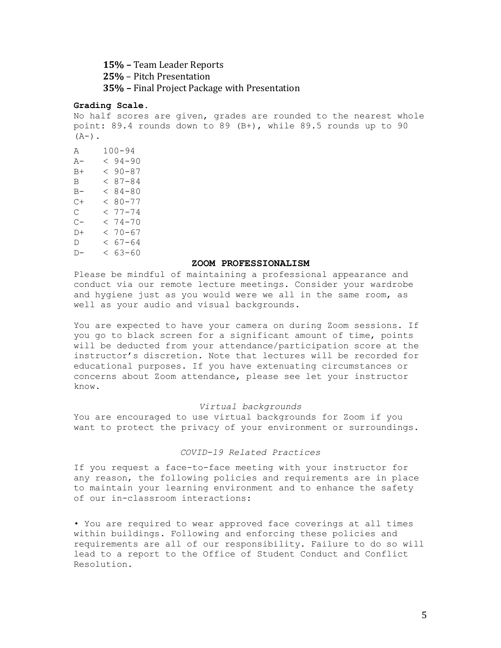**15% –** Team Leader Reports **25%** – Pitch Presentation **35% –** Final Project Package with Presentation

### **Grading Scale.**

No half scores are given, grades are rounded to the nearest whole point: 89.4 rounds down to 89 (B+), while 89.5 rounds up to 90  $(A-)$ .

A 100-94 A- < 94-90  $B+ < 90-87$  $B = 87 - 84$  $B- < 84-80$  $C+ < 80-77$  $C \t 277 - 74$  $C- < 74-70$  $D+ < 70-67$  $D \leq 67 - 64$  $D- < 63-60$ 

### **ZOOM PROFESSIONALISM**

Please be mindful of maintaining a professional appearance and conduct via our remote lecture meetings. Consider your wardrobe and hygiene just as you would were we all in the same room, as well as your audio and visual backgrounds.

You are expected to have your camera on during Zoom sessions. If you go to black screen for a significant amount of time, points will be deducted from your attendance/participation score at the instructor's discretion. Note that lectures will be recorded for educational purposes. If you have extenuating circumstances or concerns about Zoom attendance, please see let your instructor know.

### *Virtual backgrounds*

You are encouraged to use virtual backgrounds for Zoom if you want to protect the privacy of your environment or surroundings.

# *COVID-19 Related Practices*

If you request a face-to-face meeting with your instructor for any reason, the following policies and requirements are in place to maintain your learning environment and to enhance the safety of our in-classroom interactions:

• You are required to wear approved face coverings at all times within buildings. Following and enforcing these policies and requirements are all of our responsibility. Failure to do so will lead to a report to the Office of Student Conduct and Conflict Resolution.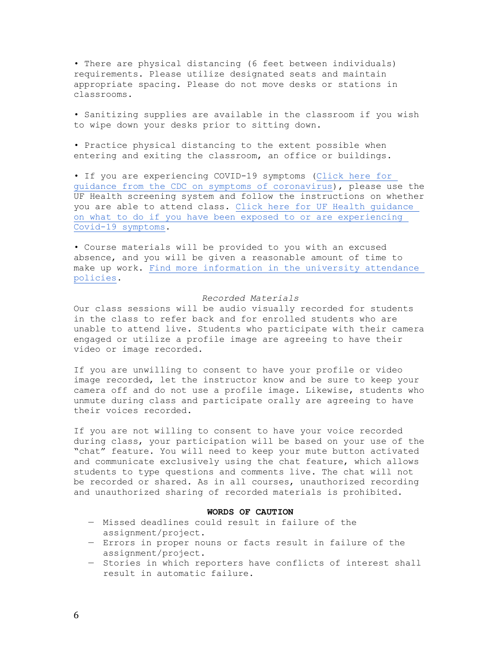• There are physical distancing (6 feet between individuals) requirements. Please utilize designated seats and maintain appropriate spacing. Please do not move desks or stations in classrooms.

• Sanitizing supplies are available in the classroom if you wish to wipe down your desks prior to sitting down.

• Practice physical distancing to the extent possible when entering and exiting the classroom, an office or buildings.

• If you are experiencing COVID-19 symptoms [\(Click here for](https://www.cdc.gov/coronavirus/2019-ncov/symptoms-testing/symptoms.html)  [guidance from the CDC on symptoms of coronavirus\)](https://www.cdc.gov/coronavirus/2019-ncov/symptoms-testing/symptoms.html), please use the UF Health screening system and follow the instructions on whether you are able to attend class. [Click here for UF Health guidance](https://coronavirus.ufhealth.org/screen-test-protect/covid-19-exposure-and-symptoms-who-do-i-call-if/)  [on what to do if you have been exposed to or are experiencing](https://coronavirus.ufhealth.org/screen-test-protect/covid-19-exposure-and-symptoms-who-do-i-call-if/)  [Covid-19 symptoms.](https://coronavirus.ufhealth.org/screen-test-protect/covid-19-exposure-and-symptoms-who-do-i-call-if/)

• Course materials will be provided to you with an excused absence, and you will be given a reasonable amount of time to make up work. [Find more information in the university attendance](https://catalog.ufl.edu/UGRD/academic-regulations/attendance-policies/)  [policies.](https://catalog.ufl.edu/UGRD/academic-regulations/attendance-policies/)

### *Recorded Materials*

Our class sessions will be audio visually recorded for students in the class to refer back and for enrolled students who are unable to attend live. Students who participate with their camera engaged or utilize a profile image are agreeing to have their video or image recorded.

If you are unwilling to consent to have your profile or video image recorded, let the instructor know and be sure to keep your camera off and do not use a profile image. Likewise, students who unmute during class and participate orally are agreeing to have their voices recorded.

If you are not willing to consent to have your voice recorded during class, your participation will be based on your use of the "chat" feature. You will need to keep your mute button activated and communicate exclusively using the chat feature, which allows students to type questions and comments live. The chat will not be recorded or shared. As in all courses, unauthorized recording and unauthorized sharing of recorded materials is prohibited.

### **WORDS OF CAUTION**

- Missed deadlines could result in failure of the assignment/project.
- Errors in proper nouns or facts result in failure of the assignment/project.
- Stories in which reporters have conflicts of interest shall result in automatic failure.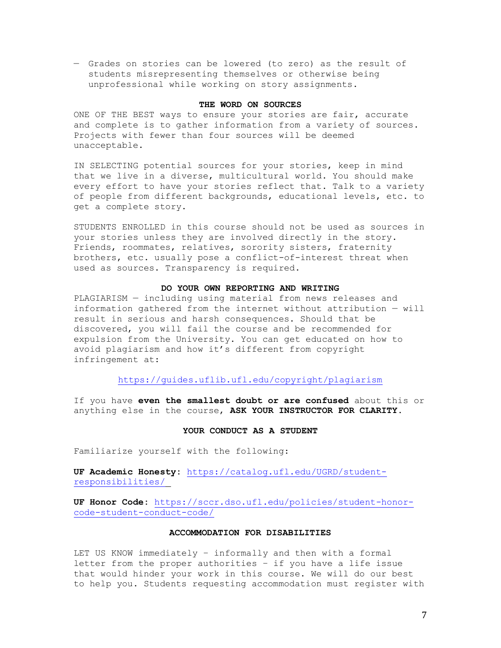— Grades on stories can be lowered (to zero) as the result of students misrepresenting themselves or otherwise being unprofessional while working on story assignments.

## **THE WORD ON SOURCES**

ONE OF THE BEST ways to ensure your stories are fair, accurate and complete is to gather information from a variety of sources. Projects with fewer than four sources will be deemed unacceptable.

IN SELECTING potential sources for your stories, keep in mind that we live in a diverse, multicultural world. You should make every effort to have your stories reflect that. Talk to a variety of people from different backgrounds, educational levels, etc. to get a complete story.

STUDENTS ENROLLED in this course should not be used as sources in your stories unless they are involved directly in the story. Friends, roommates, relatives, sorority sisters, fraternity brothers, etc. usually pose a conflict-of-interest threat when used as sources. Transparency is required.

# **DO YOUR OWN REPORTING AND WRITING**

PLAGIARISM — including using material from news releases and information gathered from the internet without attribution — will result in serious and harsh consequences. Should that be discovered, you will fail the course and be recommended for expulsion from the University. You can get educated on how to avoid plagiarism and how it's different from copyright infringement at:

# <https://guides.uflib.ufl.edu/copyright/plagiarism>

If you have **even the smallest doubt or are confused** about this or anything else in the course, **ASK YOUR INSTRUCTOR FOR CLARITY**.

### **YOUR CONDUCT AS A STUDENT**

Familiarize yourself with the following:

**UF Academic Honesty:** [https://catalog.ufl.edu/UGRD/student](https://catalog.ufl.edu/UGRD/student-responsibilities/)[responsibilities/](https://catalog.ufl.edu/UGRD/student-responsibilities/)

**UF Honor Code:** [https://sccr.dso.ufl.edu/policies/student-honor](https://sccr.dso.ufl.edu/policies/student-honor-code-student-conduct-code/)[code-student-conduct-code/](https://sccr.dso.ufl.edu/policies/student-honor-code-student-conduct-code/)

### **ACCOMMODATION FOR DISABILITIES**

LET US KNOW immediately – informally and then with a formal letter from the proper authorities – if you have a life issue that would hinder your work in this course. We will do our best to help you. Students requesting accommodation must register with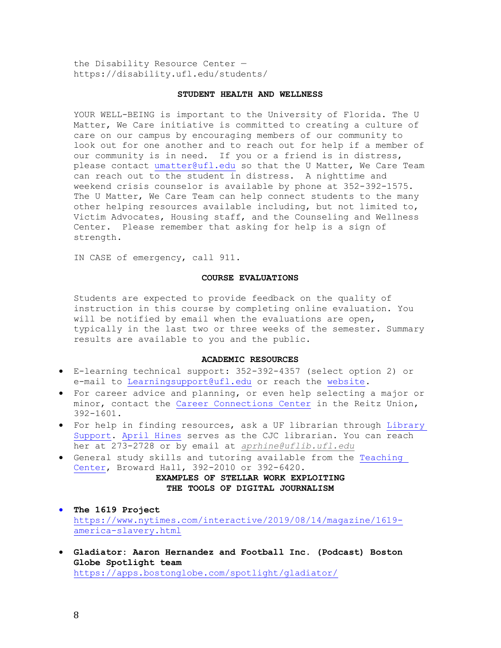the Disability Resource Center https://disability.ufl.edu/students/

# **STUDENT HEALTH AND WELLNESS**

YOUR WELL-BEING is important to the University of Florida. The U Matter, We Care initiative is committed to creating a culture of care on our campus by encouraging members of our community to look out for one another and to reach out for help if a member of our community is in need. If you or a friend is in distress, please contact [umatter@ufl.edu](mailto:umatter@ufl.edu) so that the U Matter, We Care Team can reach out to the student in distress. A nighttime and weekend crisis counselor is available by phone at 352-392-1575. The U Matter, We Care Team can help connect students to the many other helping resources available including, but not limited to, Victim Advocates, Housing staff, and the Counseling and Wellness Center. Please remember that asking for help is a sign of strength.

IN CASE of emergency, call 911.

#### **COURSE EVALUATIONS**

Students are expected to provide feedback on the quality of instruction in this course by completing online evaluation. You will be notified by email when the evaluations are open, typically in the last two or three weeks of the semester. Summary results are available to you and the public.

### **ACADEMIC RESOURCES**

- E-learning technical support: 352-392-4357 (select option 2) or e-mail to [Learningsupport@ufl.edu](mailto:Learningsupport@ufl.edu) or reach the [website.](https://elearning.ufl.edu/keep-learning/)
- For career advice and planning, or even help selecting a major or minor, contact the [Career Connections](http://www.crc.ufl.edu/) Center in the Reitz Union, 392-1601.
- For help in finding resources, ask a UF librarian through Library [Support.](http://cms.uflib.ufl.edu/ask) [April Hines](https://guides.uflib.ufl.edu/prf.php?account_id=25932) serves as the CJC librarian. You can reach her at 273-2728 or by email at *[aprhine@uflib.ufl.edu](mailto:aprhine@uflib.ufl.edu)*
- General study skills and tutoring available from the [Teaching](https://teachingcenter.ufl.edu/)  [Center,](https://teachingcenter.ufl.edu/) Broward Hall, 392-2010 or 392-6420.

# **EXAMPLES OF STELLAR WORK EXPLOITING THE TOOLS OF DIGITAL JOURNALISM**

- **The 1619 Project** [https://www.nytimes.com/interactive/2019/08/14/magazine/1619](https://www.nytimes.com/interactive/2019/08/14/magazine/1619-america-slavery.html) [america-slavery.html](https://www.nytimes.com/interactive/2019/08/14/magazine/1619-america-slavery.html)
- **Gladiator: Aaron Hernandez and Football Inc. (Podcast) Boston Globe Spotlight team** <https://apps.bostonglobe.com/spotlight/gladiator/>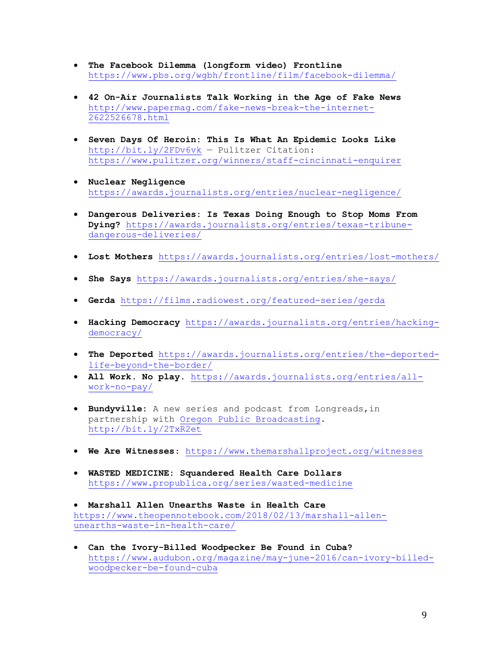- **The Facebook Dilemma (longform video) Frontline** <https://www.pbs.org/wgbh/frontline/film/facebook-dilemma/>
- **42 On-Air Journalists Talk Working in the Age of Fake News** [http://www.papermag.com/fake-news-break-the-internet-](http://www.papermag.com/fake-news-break-the-internet-2622526678.html)[2622526678.html](http://www.papermag.com/fake-news-break-the-internet-2622526678.html)
- **Seven Days Of Heroin: This Is What An Epidemic Looks Like** <http://bit.ly/2FDv6vk> — Pulitzer Citation: <https://www.pulitzer.org/winners/staff-cincinnati-enquirer>
- **Nuclear Negligence** <https://awards.journalists.org/entries/nuclear-negligence/>
- **Dangerous Deliveries: Is Texas Doing Enough to Stop Moms From Dying?** [https://awards.journalists.org/entries/texas-tribune](https://awards.journalists.org/entries/texas-tribune-dangerous-deliveries/)[dangerous-deliveries/](https://awards.journalists.org/entries/texas-tribune-dangerous-deliveries/)
- **Lost Mothers** <https://awards.journalists.org/entries/lost-mothers/>
- **She Says** <https://awards.journalists.org/entries/she-says/>
- **Gerda** <https://films.radiowest.org/featured-series/gerda>
- **Hacking Democracy** [https://awards.journalists.org/entries/hacking](https://awards.journalists.org/entries/hacking-democracy/)[democracy/](https://awards.journalists.org/entries/hacking-democracy/)
- **The Deported** [https://awards.journalists.org/entries/the-deported](https://awards.journalists.org/entries/the-deported-life-beyond-the-border/)[life-beyond-the-border/](https://awards.journalists.org/entries/the-deported-life-beyond-the-border/)
- **All Work. No play**. [https://awards.journalists.org/entries/all](https://awards.journalists.org/entries/all-work-no-pay/)[work-no-pay/](https://awards.journalists.org/entries/all-work-no-pay/)
- **Bundyville:** A new series and podcast from Longreads,in partnership with [Oregon Public Broadcasting.](https://www.opb.org/bundyville/) <http://bit.ly/2TxR2et>
- **We Are Witnesses**:<https://www.themarshallproject.org/witnesses>
- **WASTED MEDICINE: Squandered Health Care Dollars** <https://www.propublica.org/series/wasted-medicine>
- **Marshall Allen Unearths Waste in Health Care** [https://www.theopennotebook.com/2018/02/13/marshall-allen](https://www.theopennotebook.com/2018/02/13/marshall-allen-unearths-waste-in-health-care/)[unearths-waste-in-health-care/](https://www.theopennotebook.com/2018/02/13/marshall-allen-unearths-waste-in-health-care/)
- **Can the Ivory-Billed Woodpecker Be Found in Cuba?**  [https://www.audubon.org/magazine/may-june-2016/can-ivory-billed](https://www.audubon.org/magazine/may-june-2016/can-ivory-billed-woodpecker-be-found-cuba)[woodpecker-be-found-cuba](https://www.audubon.org/magazine/may-june-2016/can-ivory-billed-woodpecker-be-found-cuba)